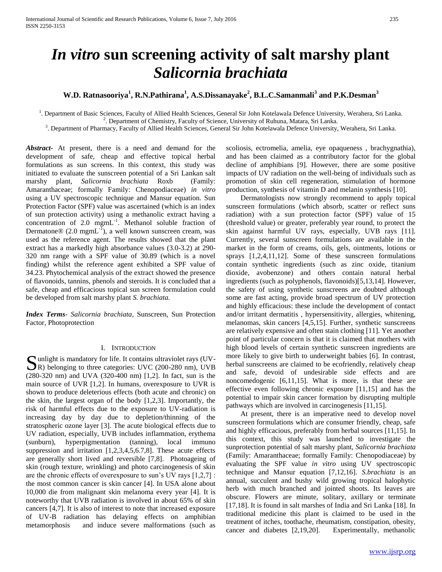# *In vitro* **sun screening activity of salt marshy plant**  *Salicornia brachiata*

# **W.D. Ratnasooriya<sup>1</sup> , R.N.Pathirana<sup>1</sup> , A.S.Dissanayake<sup>2</sup> , B.L.C.Samanmali<sup>3</sup> and P.K.Desman<sup>3</sup>**

1 . Department of Basic Sciences, Faculty of Allied Health Sciences, General Sir John Kotelawala Defence University, Werahera, Sri Lanka.

<sup>2</sup>. Department of Chemistry, Faculty of Science, University of Ruhuna, Matara, Sri Lanka.

3 . Department of Pharmacy, Faculty of Allied Health Sciences, General Sir John Kotelawala Defence University, Werahera, Sri Lanka.

*Abstract***-** At present, there is a need and demand for the development of safe, cheap and effective topical herbal formulations as sun screens. In this context, this study was initiated to evaluate the sunscreen potential of a Sri Lankan salt marshy plant, *Salicornia brachiata* Roxb (Family: Amaranthaceae; formally Family: Chenopodiaceae) *in vitro*  using a UV spectroscopic technique and Mansur equation. Sun Protection Factor (SPF) value was ascertained (which is an index of sun protection activity) using a methanolic extract having a concentration of 2.0 mgmL-1 . Methanol soluble fraction of Dermatone $\mathcal{D}(2.0 \text{ mmL}^{-1})$ , a well known sunscreen cream, was used as the reference agent. The results showed that the plant extract has a markedly high absorbance values (3.0-3.2) at 290- 320 nm range with a SPF value of 30.89 (which is a novel finding) whilst the reference agent exhibited a SPF value of 34.23. Phytochemical analysis of the extract showed the presence of flavonoids, tannins, phenols and steroids. It is concluded that a safe, cheap and efficacious topical sun screen formulation could be developed from salt marshy plant *S. brachiata.*

*Index Terms*- *Salicornia brachiata*, Sunscreen, Sun Protection Factor, Photoprotection

### I. INTRODUCTION

Sunlight is mandatory for life. It contains ultraviolet rays (UV-<br>
SR) belonging to three categories: UVC (200-280 nm), UVB R) belonging to three categories: UVC (200-280 nm), UVB (280-320 nm) and UVA (320-400 nm) [1,2]. In fact, sun is the main source of UVR [1,2]. In humans, overexposure to UVR is shown to produce deleterious effects (both acute and chronic) on the skin, the largest organ of the body [1,2,3]. Importantly, the risk of harmful effects due to the exposure to UV-radiation is increasing day by day due to depletion/thinning of the stratospheric ozone layer [3]. The acute biological effects due to UV radiation, especially, UVB includes inflammation, erythema (sunburn), hyperpigmentation (tanning), local immuno suppression and irritation [1,2,3,4,5,6.7,8]. These acute effects are generally short lived and reversible [7,8]. Photoageing of skin (rough texture, wrinkling) and photo carcinogenesis of skin are the chronic effects of overexposure to sun's UV rays [1,2,7] : the most common cancer is skin cancer [4]. In USA alone about 10,000 die from malignant skin melanoma every year [4]. It is noteworthy that UVB radiation is involved in about 65% of skin cancers [4,7]. It is also of interest to note that increased exposure of UV-B radiation has delaying effects on amphibian metamorphosis and induce severe malformations (such as

scoliosis, ectromelia, amelia, eye opaqueness , brachygnathia), and has been claimed as a contributory factor for the global decline of amphibians [9]. However, there are some positive impacts of UV radiation on the well-being of individuals such as promotion of skin cell regeneration, stimulation of hormone production, synthesis of vitamin D and melanin synthesis [10].

 Dermatologists now strongly recommend to apply topical sunscreen formulations (which absorb, scatter or reflect suns radiation) with a sun protection factor (SPF) value of 15 (threshold value) or greater, preferably year round, to protect the skin against harmful UV rays, especially, UVB rays [11]. Currently, several sunscreen formulations are available in the market in the form of creams, oils, gels, ointments, lotions or sprays [1,2,4,11,12]. Some of these sunscreen formulations contain synthetic ingredients (such as zinc oxide, titanium dioxide, avobenzone) and others contain natural herbal ingredients (such as polyphenols, flavonoids)[5,13,14]. However, the safety of using synthetic sunscreens are doubted although some are fast acting, provide broad spectrum of UV protection and highly efficacious: these include the development of contact and/or irritant dermatitis , hypersensitivity, allergies, whitening, melanomas, skin cancers [4,5,15]. Further, synthetic sunscreens are relatively expensive and often stain clothing [11]. Yet another point of particular concern is that it is claimed that mothers with high blood levels of certain synthetic sunscreen ingredients are more likely to give birth to underweight babies [6]. In contrast, herbal sunscreens are claimed to be ecofriendly, relatively cheap and safe, devoid of undesirable side effects and are noncomedogenic [6,11,15]. What is more, is that these are effective even following chronic exposure [11,15] and has the potential to impair skin cancer formation by disrupting multiple pathways which are involved in carcinogenesis [11,15].

 At present, there is an imperative need to develop novel sunscreen formulations which are consumer friendly, cheap, safe and highly efficacious, preferably from herbal sources [11,15]. In this context, this study was launched to investigate the sunprotection potential of salt marshy plant, *Salicornia brachiata* (Family: Amaranthaceae; formally Family: Chenopodiaceae) by evaluating the SPF value *in vitro* using UV spectroscopic technique and Mansur equation [7,12,16]. *S.brachiata* is an annual, succulent and bushy wild growing tropical halophytic herb with much branched and jointed shoots. Its leaves are obscure. Flowers are minute, solitary, axillary or terminate [17,18]. It is found in salt marshes of India and Sri Lanka [18]. In traditional medicine this plant is claimed to be used in the treatment of itches, toothache, rheumatism, constipation, obesity, cancer and diabetes [2,19,20]. Experimentally, methanolic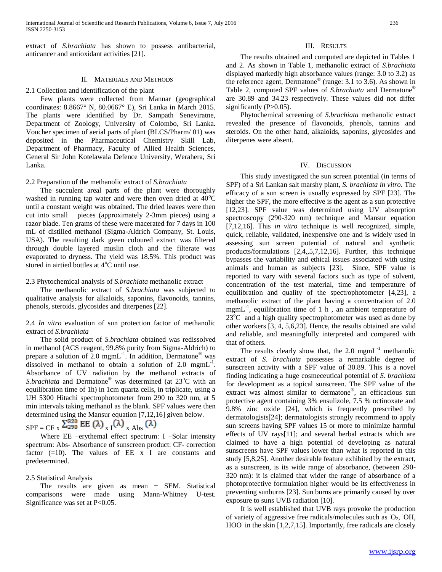extract of *S.brachiata* has shown to possess antibacterial, anticancer and antioxidant activities [21].

#### II. MATERIALS AND METHODS

#### 2.1 Collection and identification of the plant

 Few plants were collected from Mannar (geographical coordinates: 8.8667° N, 80.0667° E), Sri Lanka in March 2015. The plants were identified by Dr. Sampath Seneviratne, Department of Zoology, University of Colombo, Sri Lanka. Voucher specimen of aerial parts of plant (BLCS/Pharm/ 01) was deposited in the Pharmaceutical Chemistry Skill Lab, Department of Pharmacy, Faculty of Allied Health Sciences, General Sir John Kotelawala Defence University, Werahera, Sri Lanka.

#### 2.2 Preparation of the methanolic extract of *S.brachiata*

 The succulent areal parts of the plant were thoroughly washed in running tap water and were then oven dried at  $40^{\circ}$ C until a constant weight was obtained. The dried leaves were then cut into small pieces (approximately 2-3mm pieces) using a razor blade. Ten grams of these were macerated for 7 days in 100 mL of distilled methanol (Sigma-Aldrich Company, St. Louis, USA). The resulting dark green coloured extract was filtered through double layered muslin cloth and the filterate was evaporated to dryness. The yield was 18.5%. This product was stored in airtied bottles at 4°C until use.

#### 2.3 Phytochemical analysis of *S.brachiata* methanolic extract

 The methanolic extract of *S.brachiata* was subjected to qualitative analysis for alkaloids, saponins, flavonoids, tannins, phenols, steroids, glycosides and diterpenes [22].

2.4 *In vitro* evaluation of sun protection factor of methanolic extract of *S.brachiata*

 The solid product of *S.brachiata* obtained was redissolved in methanol (ACS reagent, 99.8% purity from Sigma-Aldrich) to prepare a solution of 2.0 mgmL $^{-1}$ . In addition, Dermatone<sup>®</sup> was dissolved in methanol to obtain a solution of  $2.0 \text{ mmL}^{-1}$ . Absorbance of UV radiation by the methanol extracts of *S.brachiata* and Dermatone<sup>®</sup> was determined (at 23<sup>o</sup>C with an equilibration time of 1h) in 1cm quartz cells, in triplicate, using a UH 5300 Hitachi spectrophotometer from 290 to 320 nm, at 5 min intervals taking methanol as the blank. SPF values were then determined using the Mansur equation [7,12,16] given below.

 $SPF = CF \times \frac{\sum_{290}^{320} EE(\lambda) \times I(\lambda)}{\sum_{x} Abs(\lambda)}$ 

 Where EE –erythemal effect spectrum: I –Solar intensity spectrum: Abs- Absorbance of sunscreen product: CF- correction factor  $(=10)$ . The values of EE x I are constants and predetermined.

#### 2.5 Statistical Analysis

 The results are given as mean ± SEM. Statistical comparisons were made using Mann-Whitney U-test. Significance was set at P<0.05.

#### III. RESULTS

 The results obtained and computed are depicted in Tables 1 and 2. As shown in Table 1, methanolic extract of *S.brachiata* displayed markedly high absorbance values (range: 3.0 to 3.2) as the reference agent, Dermatone® (range: 3.1 to 3.6). As shown in Table 2, computed SPF values of *S.brachiata* and Dermatone® are 30.89 and 34.23 respectively. These values did not differ significantly  $(P>0.05)$ .

 Phytochemical screening of *S.brachiata* methanolic extract revealed the presence of flavonoids, phenols, tannins and steroids. On the other hand, alkaloids, saponins, glycosides and diterpenes were absent.

#### IV. DISCUSSION

 This study investigated the sun screen potential (in terms of SPF) of a Sri Lankan salt marshy plant, *S. brachiata in vitro.* The efficacy of a sun screen is usually expressed by SPF [23]. The higher the SPF, the more effective is the agent as a sun protective [12,23]. SPF value was determined using UV absorption spectroscopy (290-320 nm) technique and Mansur equation [7,12,16]. This *in vitro* technique is well recognized, simple, quick, reliable, validated, inexpensive one and is widely used in assessing sun screen potential of natural and synthetic products/formulations [2,4,,5,7,12,16]. Further, this technique bypasses the variability and ethical issues associated with using animals and human as subjects [23]. Since, SPF value is reported to vary with several factors such as type of solvent, concentration of the test material, time and temperature of equilibration and quality of the spectrophotometer [4,23], a methanolic extract of the plant having a concentration of 2.0 mgmL<sup>-1</sup>, equilibration time of 1 h, an ambient temperature of  $23^{\circ}$ C and a high quality spectrophotometer was used as done by other workers [3, 4, 5,6,23]. Hence, the results obtained are valid and reliable, and meaningfully interpreted and compared with that of others.

The results clearly show that, the  $2.0 \text{ mm}$ L<sup>-1</sup> methanolic extract of *S. brachiata* possesses a remarkable degree of sunscreen activity with a SPF value of 30.89. This is a novel finding indicating a huge cosmeceutical potential of *S. brachiata* for development as a topical sunscreen. The SPF value of the extract was almost similar to dermatone® , an efficacious sun protective agent containing 3% ensulizole, 7.5 % octinoxate and 9.8% zinc oxide [24], which is frequently prescribed by dermatologists[24]; dermatologists strongly recommend to apply sun screens having SPF values 15 or more to minimize harmful effects of UV rays[11]; and several herbal extracts which are claimed to have a high potential of developing as natural sunscreens have SPF values lower than what is reported in this study [5,8,25]. Another desirable feature exhibited by the extract, as a sunscreen, is its wide range of absorbance, (between 290- 320 nm): it is claimed that wider the range of absorbance of a photoprotective formulation higher would be its effectiveness in preventing sunburns [23]. Sun burns are primarily caused by over exposure to suns UVB radiation [10].

 It is well established that UVB rays provoke the production of variety of aggressive free radicals/molecules such as  $O_2$ , OH, HOO in the skin [1,2,7,15]. Importantly, free radicals are closely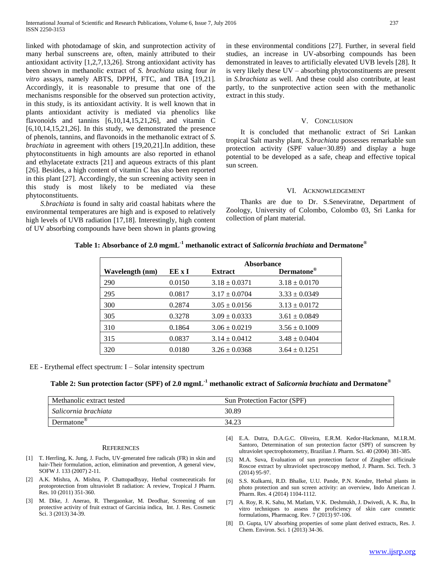linked with photodamage of skin, and sunprotection activity of many herbal sunscreens are, often, mainly attributed to their antioxidant activity [1,2,7,13,26]. Strong antioxidant activity has been shown in methanolic extract of *S. brachiata* using four *in vitro* assays, namely ABTS, DPPH, FTC, and TBA [19,21]. Accordingly, it is reasonable to presume that one of the mechanisms responsible for the observed sun protection activity, in this study, is its antioxidant activity. It is well known that in plants antioxidant activity is mediated via phenolics like flavonoids and tannins [6,10,14,15,21,26], and vitamin C [6,10,14,15,21,26]. In this study, we demonstrated the presence of phenols, tannins, and flavonoids in the methanolic extract of *S. brachiata* in agreement with others [19,20,21].In addition, these phytoconstituents in high amounts are also reported in ethanol and ethylacetate extracts [21] and aqueous extracts of this plant [26]. Besides, a high content of vitamin C has also been reported in this plant [27]. Accordingly, the sun screening activity seen in this study is most likely to be mediated via these phytoconstituents.

 *S.brachiata* is found in salty arid coastal habitats where the environmental temperatures are high and is exposed to relatively high levels of UVB radiation [17,18]. Interestingly, high content of UV absorbing compounds have been shown in plants growing

#### V. CONCLUSION

 It is concluded that methanolic extract of Sri Lankan tropical Salt marshy plant, *S.brachiata* possesses remarkable sun protection activity (SPF value=30.89) and display a huge potential to be developed as a safe, cheap and effective topical sun screen.

#### VI. ACKNOWLEDGEMENT

 Thanks are due to Dr. S.Seneviratne, Department of Zoology, University of Colombo, Colombo 03, Sri Lanka for collection of plant material.

## **Table 1: Absorbance of 2.0 mgmL-1 methanolic extract of** *Salicornia brachiata* **and Dermatone®**

|                 | Absorbance<br>EE x I<br><b>Extract</b> |                   | Dermatone <sup>®</sup> |
|-----------------|----------------------------------------|-------------------|------------------------|
| Wavelength (nm) |                                        |                   |                        |
| 290             | 0.0150                                 | $3.18 \pm 0.0371$ | $3.18 \pm 0.0170$      |
| 295             | 0.0817                                 | $3.17 \pm 0.0704$ | $3.33 \pm 0.0349$      |
| 300             | 0.2874                                 | $3.05 \pm 0.0156$ | $3.13 \pm 0.0172$      |
| 305             | 0.3278                                 | $3.09 \pm 0.0333$ | $3.61 \pm 0.0849$      |
| 310             | 0.1864                                 | $3.06 \pm 0.0219$ | $3.56 \pm 0.1009$      |
| 315             | 0.0837                                 | $3.14 \pm 0.0412$ | $3.48 \pm 0.0404$      |
| 320             | 0.0180                                 | $3.26 \pm 0.0368$ | $3.64 \pm 0.1251$      |

EE - Erythemal effect spectrum: I – Solar intensity spectrum

# **Table 2: Sun protection factor (SPF) of 2.0 mgmL-1 methanolic extract of** *Salicornia brachiata* **and Dermatone®**

| Methanolic extract tested | Sun Protection Factor (SPF) |
|---------------------------|-----------------------------|
| Salicornia brachiata      | 30.89                       |
| Dermatone                 | 34.23                       |

#### **REFERENCES**

- [1] T. Herrling, K. Jung, J. Fuchs, UV-generated free radicals (FR) in skin and hair-Their formulation, action, elimination and prevention, A general view, SOFW J. 133 (2007) 2-11.
- [2] A.K. Mishra, A. Mishra, P. Chattopadhyay, Herbal cosmeceuticals for protoprotection from ultraviolet B radiation: A review, Tropical J Pharm. Res. 10 (2011) 351-360.
- [3] M. Dike, J. Anerao, R. Thergaonkar, M. Deodhar, Screening of sun protective activity of fruit extract of Garcinia indica, Int. J. Res. Cosmetic Sci. 3 (2013) 34-39.
- [4] E.A. Dutra, D.A.G.C. Oliveira, E.R.M. Kedor-Hackmann, M.I.R.M. Santoro, Determination of sun protection factor (SPF) of sunscreen by ultraviolet spectrophotometry, Brazilian J. Pharm. Sci. 40 (2004) 381-385.
- [5] M.A. Suva, Evaluation of sun protection factor of Zingiber officinale Roscoe extract by ultraviolet spectroscopy method, J. Pharm. Sci. Tech. 3 (2014) 95-97.
- [6] S.S. Kulkarni, R.D. Bhalke, U.U. Pande, P.N. Kendre, Herbal plants in photo protection and sun screen activity: an overview, Indo American J. Pharm. Res. 4 (2014) 1104-1112.
- [7] A. Roy, R. K. Sahu, M. Matlam, V.K. Deshmukh, J. Dwivedi, A. K. Jha, In vitro techniques to assess the proficiency of skin care cosmetic formulations, Pharmacog. Rev. 7 (2013) 97-106.
- [8] D. Gupta, UV absorbing properties of some plant derived extracts, Res. J. Chem. Environ. Sci. 1 (2013) 34-36.